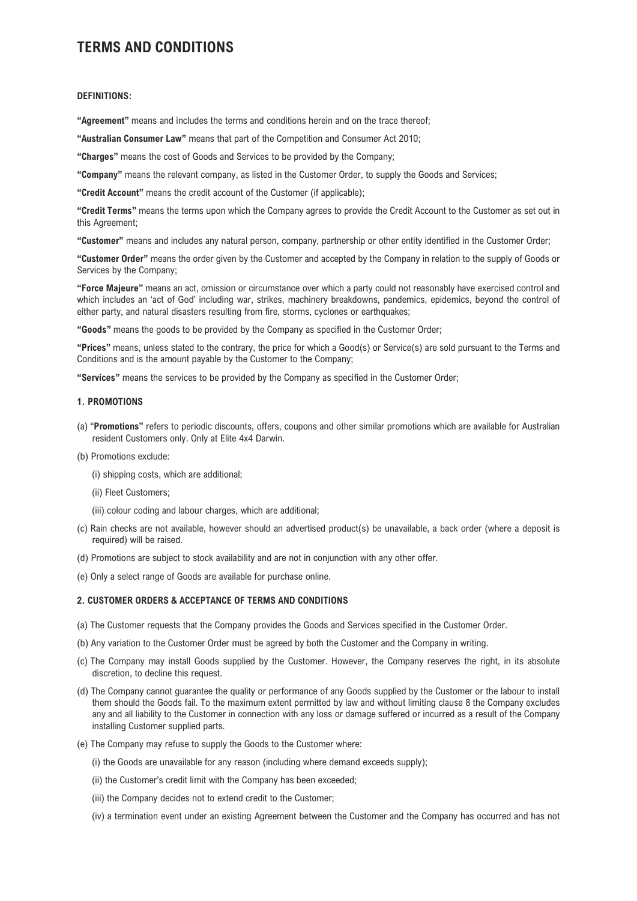# TERMS AND CONDITIONS

## DEFINITIONS:

"Agreement" means and includes the terms and conditions herein and on the trace thereof;

"Australian Consumer Law" means that part of the Competition and Consumer Act 2010;

"Charges" means the cost of Goods and Services to be provided by the Company;

"Company" means the relevant company, as listed in the Customer Order, to supply the Goods and Services;

"Credit Account" means the credit account of the Customer (if applicable);

"Credit Terms" means the terms upon which the Company agrees to provide the Credit Account to the Customer as set out in this Agreement;

"Customer" means and includes any natural person, company, partnership or other entity identified in the Customer Order;

"Customer Order" means the order given by the Customer and accepted by the Company in relation to the supply of Goods or Services by the Company;

"Force Majeure" means an act, omission or circumstance over which a party could not reasonably have exercised control and which includes an 'act of God' including war, strikes, machinery breakdowns, pandemics, epidemics, beyond the control of either party, and natural disasters resulting from fire, storms, cyclones or earthquakes;

"Goods" means the goods to be provided by the Company as specified in the Customer Order;

"Prices" means, unless stated to the contrary, the price for which a Good(s) or Service(s) are sold pursuant to the Terms and Conditions and is the amount payable by the Customer to the Company;

"Services" means the services to be provided by the Company as specified in the Customer Order;

# 1. PROMOTIONS

- (a) "Promotions" refers to periodic discounts, offers, coupons and other similar promotions which are available for Australian resident Customers only. Only at Elite 4x4 Darwin.
- (b) Promotions exclude:
	- (i) shipping costs, which are additional;
	- (ii) Fleet Customers;
	- (iii) colour coding and labour charges, which are additional;
- (c) Rain checks are not available, however should an advertised product(s) be unavailable, a back order (where a deposit is required) will be raised.
- (d) Promotions are subject to stock availability and are not in conjunction with any other offer.

(e) Only a select range of Goods are available for purchase online.

#### 2. CUSTOMER ORDERS & ACCEPTANCE OF TERMS AND CONDITIONS

- (a) The Customer requests that the Company provides the Goods and Services specified in the Customer Order.
- (b) Any variation to the Customer Order must be agreed by both the Customer and the Company in writing.
- (c) The Company may install Goods supplied by the Customer. However, the Company reserves the right, in its absolute discretion, to decline this request.
- (d) The Company cannot guarantee the quality or performance of any Goods supplied by the Customer or the labour to install them should the Goods fail. To the maximum extent permitted by law and without limiting clause 8 the Company excludes any and all liability to the Customer in connection with any loss or damage suffered or incurred as a result of the Company installing Customer supplied parts.
- (e) The Company may refuse to supply the Goods to the Customer where:
	- (i) the Goods are unavailable for any reason (including where demand exceeds supply);
	- (ii) the Customer's credit limit with the Company has been exceeded;
	- (iii) the Company decides not to extend credit to the Customer;
	- (iv) a termination event under an existing Agreement between the Customer and the Company has occurred and has not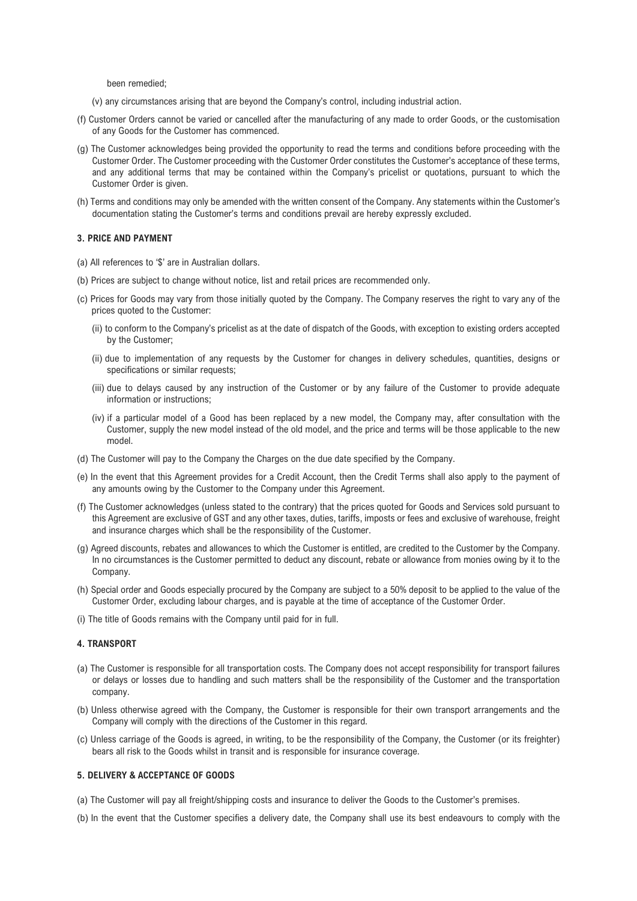been remedied;

- (v) any circumstances arising that are beyond the Company's control, including industrial action.
- (f) Customer Orders cannot be varied or cancelled after the manufacturing of any made to order Goods, or the customisation of any Goods for the Customer has commenced.
- (g) The Customer acknowledges being provided the opportunity to read the terms and conditions before proceeding with the Customer Order. The Customer proceeding with the Customer Order constitutes the Customer's acceptance of these terms, and any additional terms that may be contained within the Company's pricelist or quotations, pursuant to which the Customer Order is given.
- (h) Terms and conditions may only be amended with the written consent of the Company. Any statements within the Customer's documentation stating the Customer's terms and conditions prevail are hereby expressly excluded.

## 3. PRICE AND PAYMENT

- (a) All references to '\$' are in Australian dollars.
- (b) Prices are subject to change without notice, list and retail prices are recommended only.
- (c) Prices for Goods may vary from those initially quoted by the Company. The Company reserves the right to vary any of the prices quoted to the Customer:
	- (ii) to conform to the Company's pricelist as at the date of dispatch of the Goods, with exception to existing orders accepted by the Customer;
	- (ii) due to implementation of any requests by the Customer for changes in delivery schedules, quantities, designs or specifications or similar requests:
	- (iii) due to delays caused by any instruction of the Customer or by any failure of the Customer to provide adequate information or instructions;
	- (iv) if a particular model of a Good has been replaced by a new model, the Company may, after consultation with the Customer, supply the new model instead of the old model, and the price and terms will be those applicable to the new model.
- (d) The Customer will pay to the Company the Charges on the due date specified by the Company.
- (e) In the event that this Agreement provides for a Credit Account, then the Credit Terms shall also apply to the payment of any amounts owing by the Customer to the Company under this Agreement.
- (f) The Customer acknowledges (unless stated to the contrary) that the prices quoted for Goods and Services sold pursuant to this Agreement are exclusive of GST and any other taxes, duties, tariffs, imposts or fees and exclusive of warehouse, freight and insurance charges which shall be the responsibility of the Customer.
- (g) Agreed discounts, rebates and allowances to which the Customer is entitled, are credited to the Customer by the Company. In no circumstances is the Customer permitted to deduct any discount, rebate or allowance from monies owing by it to the Company.
- (h) Special order and Goods especially procured by the Company are subject to a 50% deposit to be applied to the value of the Customer Order, excluding labour charges, and is payable at the time of acceptance of the Customer Order.
- (i) The title of Goods remains with the Company until paid for in full.

## 4. TRANSPORT

- (a) The Customer is responsible for all transportation costs. The Company does not accept responsibility for transport failures or delays or losses due to handling and such matters shall be the responsibility of the Customer and the transportation company.
- (b) Unless otherwise agreed with the Company, the Customer is responsible for their own transport arrangements and the Company will comply with the directions of the Customer in this regard.
- (c) Unless carriage of the Goods is agreed, in writing, to be the responsibility of the Company, the Customer (or its freighter) bears all risk to the Goods whilst in transit and is responsible for insurance coverage.

# 5. DELIVERY & ACCEPTANCE OF GOODS

- (a) The Customer will pay all freight/shipping costs and insurance to deliver the Goods to the Customer's premises.
- (b) In the event that the Customer specifies a delivery date, the Company shall use its best endeavours to comply with the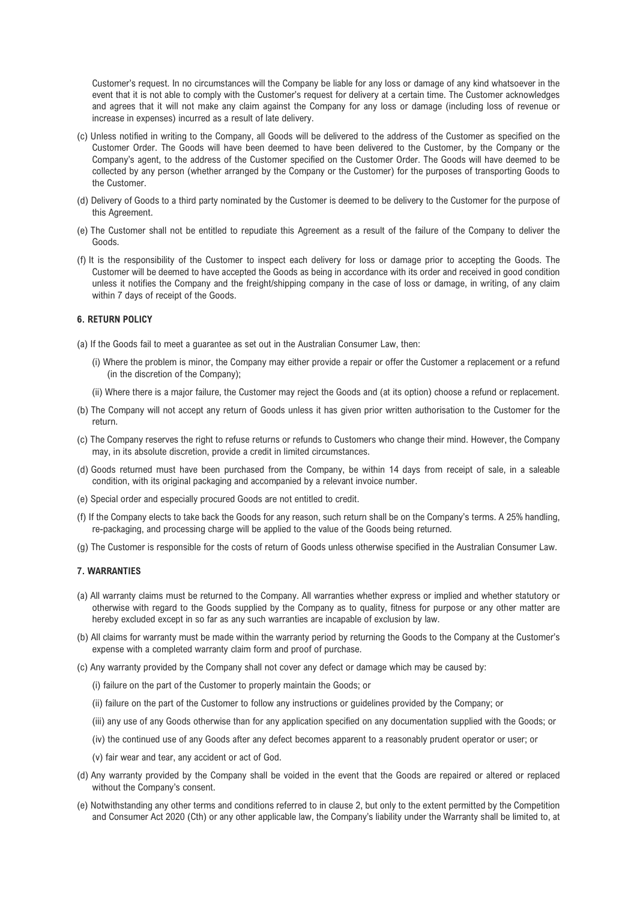Customer's request. In no circumstances will the Company be liable for any loss or damage of any kind whatsoever in the event that it is not able to comply with the Customer's request for delivery at a certain time. The Customer acknowledges and agrees that it will not make any claim against the Company for any loss or damage (including loss of revenue or increase in expenses) incurred as a result of late delivery.

- (c) Unless notified in writing to the Company, all Goods will be delivered to the address of the Customer as specified on the Customer Order. The Goods will have been deemed to have been delivered to the Customer, by the Company or the Company's agent, to the address of the Customer specified on the Customer Order. The Goods will have deemed to be collected by any person (whether arranged by the Company or the Customer) for the purposes of transporting Goods to the Customer.
- (d) Delivery of Goods to a third party nominated by the Customer is deemed to be delivery to the Customer for the purpose of this Agreement.
- (e) The Customer shall not be entitled to repudiate this Agreement as a result of the failure of the Company to deliver the Goods.
- (f) It is the responsibility of the Customer to inspect each delivery for loss or damage prior to accepting the Goods. The Customer will be deemed to have accepted the Goods as being in accordance with its order and received in good condition unless it notifies the Company and the freight/shipping company in the case of loss or damage, in writing, of any claim within 7 days of receipt of the Goods.

## 6. RETURN POLICY

(a) If the Goods fail to meet a guarantee as set out in the Australian Consumer Law, then:

- (i) Where the problem is minor, the Company may either provide a repair or offer the Customer a replacement or a refund (in the discretion of the Company);
- (ii) Where there is a major failure, the Customer may reject the Goods and (at its option) choose a refund or replacement.
- (b) The Company will not accept any return of Goods unless it has given prior written authorisation to the Customer for the return.
- (c) The Company reserves the right to refuse returns or refunds to Customers who change their mind. However, the Company may, in its absolute discretion, provide a credit in limited circumstances.
- (d) Goods returned must have been purchased from the Company, be within 14 days from receipt of sale, in a saleable condition, with its original packaging and accompanied by a relevant invoice number.
- (e) Special order and especially procured Goods are not entitled to credit.
- (f) If the Company elects to take back the Goods for any reason, such return shall be on the Company's terms. A 25% handling, re-packaging, and processing charge will be applied to the value of the Goods being returned.
- (g) The Customer is responsible for the costs of return of Goods unless otherwise specified in the Australian Consumer Law.

# 7. WARRANTIES

- (a) All warranty claims must be returned to the Company. All warranties whether express or implied and whether statutory or otherwise with regard to the Goods supplied by the Company as to quality, fitness for purpose or any other matter are hereby excluded except in so far as any such warranties are incapable of exclusion by law.
- (b) All claims for warranty must be made within the warranty period by returning the Goods to the Company at the Customer's expense with a completed warranty claim form and proof of purchase.
- (c) Any warranty provided by the Company shall not cover any defect or damage which may be caused by:
	- (i) failure on the part of the Customer to properly maintain the Goods; or
	- (ii) failure on the part of the Customer to follow any instructions or guidelines provided by the Company; or
	- (iii) any use of any Goods otherwise than for any application specified on any documentation supplied with the Goods; or
	- (iv) the continued use of any Goods after any defect becomes apparent to a reasonably prudent operator or user; or
	- (v) fair wear and tear, any accident or act of God.
- (d) Any warranty provided by the Company shall be voided in the event that the Goods are repaired or altered or replaced without the Company's consent.
- (e) Notwithstanding any other terms and conditions referred to in clause 2, but only to the extent permitted by the Competition and Consumer Act 2020 (Cth) or any other applicable law, the Company's liability under the Warranty shall be limited to, at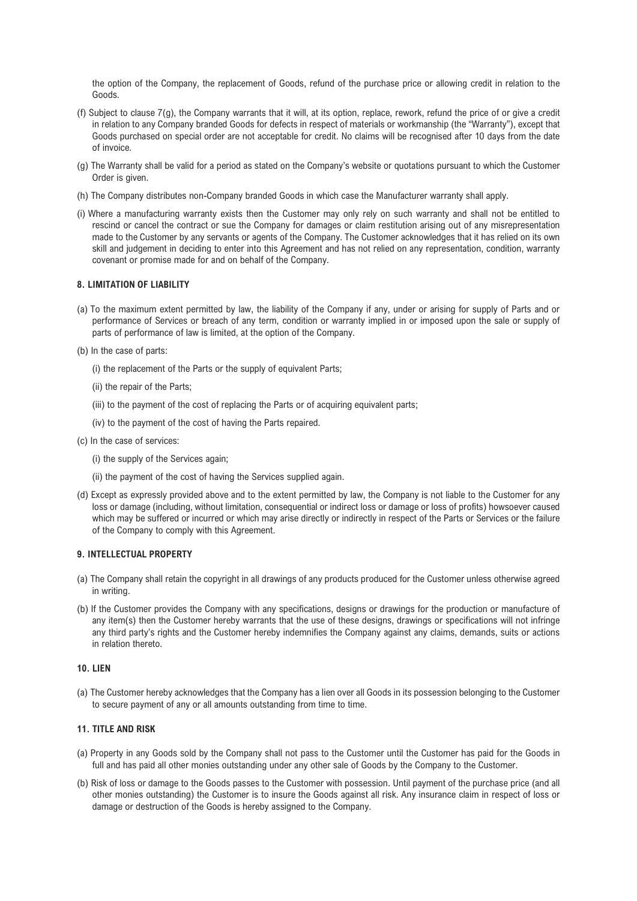the option of the Company, the replacement of Goods, refund of the purchase price or allowing credit in relation to the Goods.

- (f) Subject to clause 7(g), the Company warrants that it will, at its option, replace, rework, refund the price of or give a credit in relation to any Company branded Goods for defects in respect of materials or workmanship (the "Warranty"), except that Goods purchased on special order are not acceptable for credit. No claims will be recognised after 10 days from the date of invoice.
- (g) The Warranty shall be valid for a period as stated on the Company's website or quotations pursuant to which the Customer Order is given.
- (h) The Company distributes non-Company branded Goods in which case the Manufacturer warranty shall apply.
- (i) Where a manufacturing warranty exists then the Customer may only rely on such warranty and shall not be entitled to rescind or cancel the contract or sue the Company for damages or claim restitution arising out of any misrepresentation made to the Customer by any servants or agents of the Company. The Customer acknowledges that it has relied on its own skill and judgement in deciding to enter into this Agreement and has not relied on any representation, condition, warranty covenant or promise made for and on behalf of the Company.

## 8. LIMITATION OF LIABILITY

- (a) To the maximum extent permitted by law, the liability of the Company if any, under or arising for supply of Parts and or performance of Services or breach of any term, condition or warranty implied in or imposed upon the sale or supply of parts of performance of law is limited, at the option of the Company.
- (b) In the case of parts:
	- (i) the replacement of the Parts or the supply of equivalent Parts;
	- (ii) the repair of the Parts;
	- (iii) to the payment of the cost of replacing the Parts or of acquiring equivalent parts;
	- (iv) to the payment of the cost of having the Parts repaired.
- (c) In the case of services:
	- (i) the supply of the Services again;
	- (ii) the payment of the cost of having the Services supplied again.
- (d) Except as expressly provided above and to the extent permitted by law, the Company is not liable to the Customer for any loss or damage (including, without limitation, consequential or indirect loss or damage or loss of profits) howsoever caused which may be suffered or incurred or which may arise directly or indirectly in respect of the Parts or Services or the failure of the Company to comply with this Agreement.

#### 9. INTELLECTUAL PROPERTY

- (a) The Company shall retain the copyright in all drawings of any products produced for the Customer unless otherwise agreed in writing.
- (b) If the Customer provides the Company with any specifications, designs or drawings for the production or manufacture of any item(s) then the Customer hereby warrants that the use of these designs, drawings or specifications will not infringe any third party's rights and the Customer hereby indemnifies the Company against any claims, demands, suits or actions in relation thereto.

# 10. LIEN

(a) The Customer hereby acknowledges that the Company has a lien over all Goods in its possession belonging to the Customer to secure payment of any or all amounts outstanding from time to time.

## 11. TITLE AND RISK

- (a) Property in any Goods sold by the Company shall not pass to the Customer until the Customer has paid for the Goods in full and has paid all other monies outstanding under any other sale of Goods by the Company to the Customer.
- (b) Risk of loss or damage to the Goods passes to the Customer with possession. Until payment of the purchase price (and all other monies outstanding) the Customer is to insure the Goods against all risk. Any insurance claim in respect of loss or damage or destruction of the Goods is hereby assigned to the Company.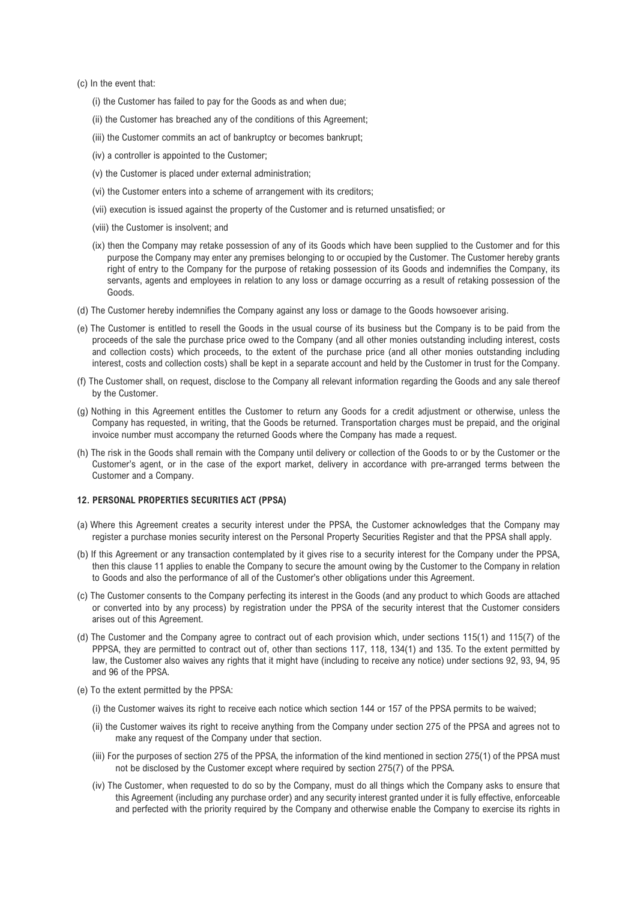(c) In the event that:

- (i) the Customer has failed to pay for the Goods as and when due;
- (ii) the Customer has breached any of the conditions of this Agreement;
- (iii) the Customer commits an act of bankruptcy or becomes bankrupt;
- (iv) a controller is appointed to the Customer;
- (v) the Customer is placed under external administration;
- (vi) the Customer enters into a scheme of arrangement with its creditors;
- (vii) execution is issued against the property of the Customer and is returned unsatisfied; or
- (viii) the Customer is insolvent; and
- (ix) then the Company may retake possession of any of its Goods which have been supplied to the Customer and for this purpose the Company may enter any premises belonging to or occupied by the Customer. The Customer hereby grants right of entry to the Company for the purpose of retaking possession of its Goods and indemnifies the Company, its servants, agents and employees in relation to any loss or damage occurring as a result of retaking possession of the Goods.
- (d) The Customer hereby indemnifies the Company against any loss or damage to the Goods howsoever arising.
- (e) The Customer is entitled to resell the Goods in the usual course of its business but the Company is to be paid from the proceeds of the sale the purchase price owed to the Company (and all other monies outstanding including interest, costs and collection costs) which proceeds, to the extent of the purchase price (and all other monies outstanding including interest, costs and collection costs) shall be kept in a separate account and held by the Customer in trust for the Company.
- (f) The Customer shall, on request, disclose to the Company all relevant information regarding the Goods and any sale thereof by the Customer.
- (g) Nothing in this Agreement entitles the Customer to return any Goods for a credit adjustment or otherwise, unless the Company has requested, in writing, that the Goods be returned. Transportation charges must be prepaid, and the original invoice number must accompany the returned Goods where the Company has made a request.
- (h) The risk in the Goods shall remain with the Company until delivery or collection of the Goods to or by the Customer or the Customer's agent, or in the case of the export market, delivery in accordance with pre-arranged terms between the Customer and a Company.

## 12. PERSONAL PROPERTIES SECURITIES ACT (PPSA)

- (a) Where this Agreement creates a security interest under the PPSA, the Customer acknowledges that the Company may register a purchase monies security interest on the Personal Property Securities Register and that the PPSA shall apply.
- (b) If this Agreement or any transaction contemplated by it gives rise to a security interest for the Company under the PPSA, then this clause 11 applies to enable the Company to secure the amount owing by the Customer to the Company in relation to Goods and also the performance of all of the Customer's other obligations under this Agreement.
- (c) The Customer consents to the Company perfecting its interest in the Goods (and any product to which Goods are attached or converted into by any process) by registration under the PPSA of the security interest that the Customer considers arises out of this Agreement.
- (d) The Customer and the Company agree to contract out of each provision which, under sections 115(1) and 115(7) of the PPPSA, they are permitted to contract out of, other than sections 117, 118, 134(1) and 135. To the extent permitted by law, the Customer also waives any rights that it might have (including to receive any notice) under sections 92, 93, 94, 95 and 96 of the PPSA.
- (e) To the extent permitted by the PPSA:
	- (i) the Customer waives its right to receive each notice which section 144 or 157 of the PPSA permits to be waived;
	- (ii) the Customer waives its right to receive anything from the Company under section 275 of the PPSA and agrees not to make any request of the Company under that section.
	- (iii) For the purposes of section 275 of the PPSA, the information of the kind mentioned in section 275(1) of the PPSA must not be disclosed by the Customer except where required by section 275(7) of the PPSA.
	- (iv) The Customer, when requested to do so by the Company, must do all things which the Company asks to ensure that this Agreement (including any purchase order) and any security interest granted under it is fully effective, enforceable and perfected with the priority required by the Company and otherwise enable the Company to exercise its rights in